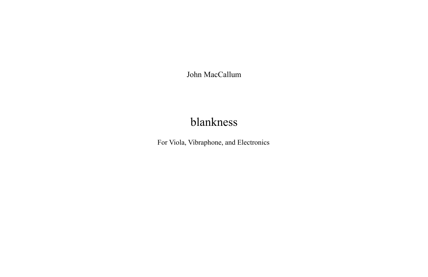John MacCallum

# blankness

For Viola, Vibraphone, and Electronics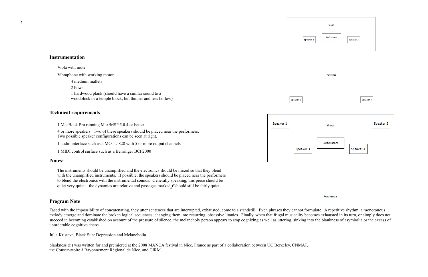| <b>Stage</b>     |           |           |
|------------------|-----------|-----------|
| Performers<br>Ĺ, | Speaker 2 |           |
|                  |           |           |
| Audience         |           |           |
|                  |           |           |
|                  | Speaker 4 |           |
|                  |           |           |
| Stage            |           | Speaker 2 |
| Performers       | Speaker 4 |           |
|                  |           |           |

#### Audience

# **Technical requirements**

# Speaker

### **Instrumentation**

## **Program Note**

Faced with the impossibility of concatenating, they utter sentences that are interrupted, exhausted, come to a standstill. Even phrases they cannot formulate. A repetitive rhythm, a monotonous melody emerge and dominate the broken logical sequences, changing them into recurring, obsessive litanies. Finally, when that frugal musicality becomes exhausted in its turn, or simply does not succeed in becoming established on account of the pressure of silence, the melancholy person appears to stop cognizing as well as uttering, sinking into the blankness of asymbolia or the excess of unorderable cognitive chaos.

Julia Kristeva, Black Sun: Depression and Melancholia.

The instruments should be unamplified and the electronics should be mixed so that they blend with the unamplified instruments. If possible, the speakers should be placed near the performers to blend the electronics with the instrumental sounds. Generally speaking, this piece should be quiet very quiet—the dynamics are relative and passages marked  $f$  should still be fairly quiet.

blankness (ii) was written for and premiered at the 2008 MANCA festival in Nice, France as part of a collaboration between UC Berkeley, CNMAT, the Conservatoire à Rayonnement Régional de Nice, and CIRM.

Speaker 1 Speaker 3

Speaker 3

1 MacBook Pro running Max/MSP 5.0.4 or better

Viola with mute

Vibraphone with working motor

4 or more speakers. Two of these speakers should be placed near the performers. Two possible speaker configurations can be seen at right.

1 audio interface such as a MOTU 828 with 5 or more output channels

1 MIDI control surface such as a Behringer BCF2000

4 medium mallets 2 bows 1 hardwood plank (should have a similar sound to a

woodblock or a temple block, but thinner and less hollow)

#### **Notes:**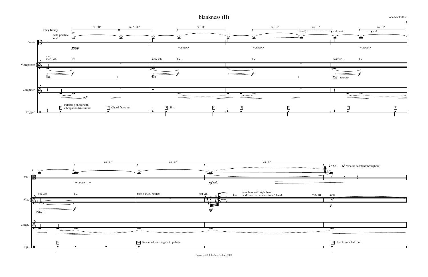John MacCallum

Copyright © John MacCallum, 2008

blankness (II)

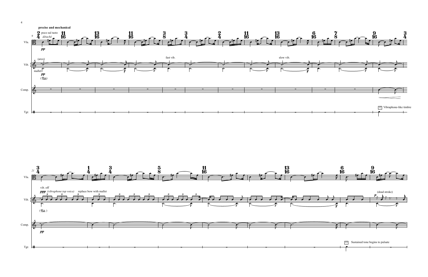



4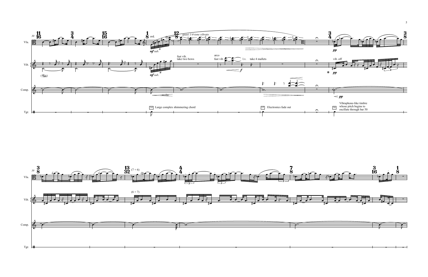





5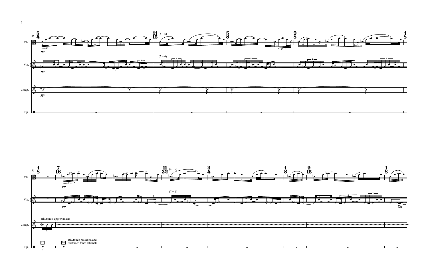



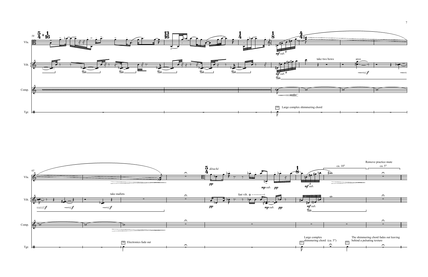

![](_page_6_Figure_2.jpeg)

![](_page_6_Figure_1.jpeg)

7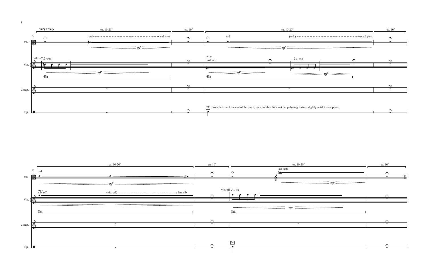![](_page_7_Figure_1.jpeg)

![](_page_7_Figure_3.jpeg)

![](_page_7_Figure_2.jpeg)

![](_page_7_Figure_0.jpeg)